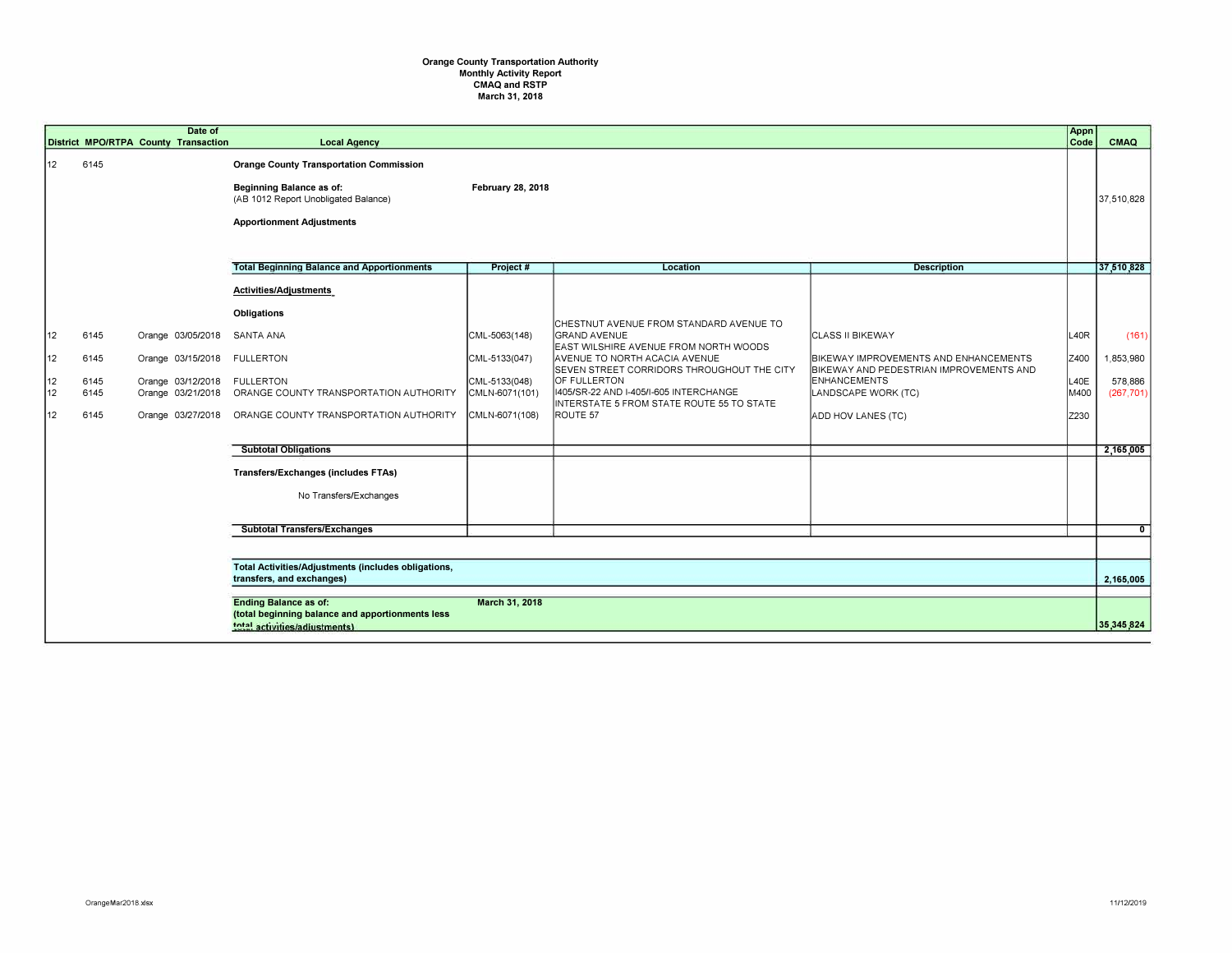## **Orange County Transportation Authority Monthly Activity Report CMAQ and RSTP March 31, 2018**

|                            |                                      | Date of<br>District MPO/RTPA County Transaction                                  | <b>Local Agency</b>                                                                                                                                                                 |                                                                                     |                                                                                                                                                                                                                                                                                                           |                                                                                                                                                                                 | Appn<br>Code                         | CMAQ                                        |
|----------------------------|--------------------------------------|----------------------------------------------------------------------------------|-------------------------------------------------------------------------------------------------------------------------------------------------------------------------------------|-------------------------------------------------------------------------------------|-----------------------------------------------------------------------------------------------------------------------------------------------------------------------------------------------------------------------------------------------------------------------------------------------------------|---------------------------------------------------------------------------------------------------------------------------------------------------------------------------------|--------------------------------------|---------------------------------------------|
| 12                         | 6145                                 |                                                                                  | <b>Orange County Transportation Commission</b><br>Beginning Balance as of:<br>(AB 1012 Report Unobligated Balance)<br><b>Apportionment Adjustments</b>                              | February 28, 2018                                                                   |                                                                                                                                                                                                                                                                                                           |                                                                                                                                                                                 |                                      | 37,510,828                                  |
|                            |                                      |                                                                                  | <b>Total Beginning Balance and Apportionments</b>                                                                                                                                   | Project #                                                                           | Location                                                                                                                                                                                                                                                                                                  | <b>Description</b>                                                                                                                                                              |                                      | 37,510,828                                  |
| 12<br>12<br>12<br>12<br>12 | 6145<br>6145<br>6145<br>6145<br>6145 | Orange 03/05/2018<br>Orange 03/15/2018 FULLERTON<br>Orange 03/12/2018 FULLERTON  | Activities/Adjustments<br>Obligations<br><b>SANTA ANA</b><br>Orange 03/21/2018  ORANGE COUNTY TRANSPORTATION AUTHORITY<br>Orange 03/27/2018  ORANGE COUNTY TRANSPORTATION AUTHORITY | CML-5063(148)<br>CML-5133(047)<br>CML-5133(048)<br>CMLN-6071(101)<br>CMLN-6071(108) | CHESTNUT AVENUE FROM STANDARD AVENUE TO<br><b>GRAND AVENUE</b><br>EAST WILSHIRE AVENUE FROM NORTH WOODS<br>AVENUE TO NORTH ACACIA AVENUE<br>SEVEN STREET CORRIDORS THROUGHOUT THE CITY<br>OF FULLERTON<br>1405/SR-22 AND 1-405/1-605 INTERCHANGE<br>INTERSTATE 5 FROM STATE ROUTE 55 TO STATE<br>ROUTE 57 | <b>CLASS II BIKEWAY</b><br>BIKEWAY IMPROVEMENTS AND ENHANCEMENTS<br>BIKEWAY AND PEDESTRIAN IMPROVEMENTS AND<br><b>ENHANCEMENTS</b><br>LANDSCAPE WORK (TC)<br>ADD HOV LANES (TC) | L40R<br>Z400<br>L40E<br>M400<br>Z230 | (161)<br>1,853,980<br>578,886<br>(267, 701) |
|                            |                                      |                                                                                  | <b>Subtotal Obligations</b>                                                                                                                                                         |                                                                                     |                                                                                                                                                                                                                                                                                                           |                                                                                                                                                                                 |                                      | 2,165,005                                   |
|                            |                                      |                                                                                  | <b>Transfers/Exchanges (includes FTAs)</b><br>No Transfers/Exchanges                                                                                                                |                                                                                     |                                                                                                                                                                                                                                                                                                           |                                                                                                                                                                                 |                                      |                                             |
|                            |                                      |                                                                                  | <b>Subtotal Transfers/Exchanges</b>                                                                                                                                                 |                                                                                     |                                                                                                                                                                                                                                                                                                           |                                                                                                                                                                                 |                                      | $\overline{0}$                              |
|                            |                                      |                                                                                  |                                                                                                                                                                                     |                                                                                     |                                                                                                                                                                                                                                                                                                           |                                                                                                                                                                                 |                                      |                                             |
|                            |                                      | Total Activities/Adjustments (includes obligations,<br>transfers, and exchanges) |                                                                                                                                                                                     |                                                                                     |                                                                                                                                                                                                                                                                                                           |                                                                                                                                                                                 |                                      | 2.165.005                                   |
|                            |                                      |                                                                                  | <b>Ending Balance as of:</b><br>(total beginning balance and apportionments less<br>total activities/adiustments)                                                                   | March 31, 2018                                                                      |                                                                                                                                                                                                                                                                                                           |                                                                                                                                                                                 |                                      | 35,345,824                                  |